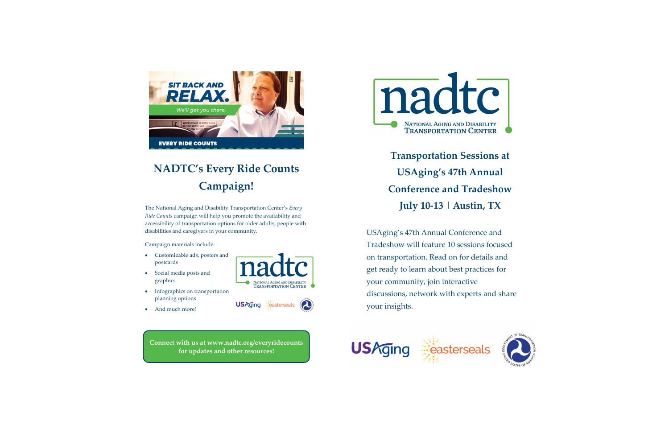**Transportation Sessions at USAging's 47th Annual Conference and Tradeshow July 10-13 | Austin, TX**

USAging's 47th Annual Conference and Tradeshow will feature 10 sessions focused on transportation. Read on for details and get ready to learn about best practices for your community, join interactive discussions, network with experts and share your insights.







12

**USAging** easterseals





# **NADTC's Every Ride Counts Campaign!**

The National Aging and Disability Transportation Center's *Every Ride Counts* campaign will help you promote the availability and accessibility of transportation options for older adults, people with disabilities and caregivers in your community.

Campaign materials include:

- Customizable ads, posters and postcards
- Social media posts and graphics
- Infographics on transportation planning options
- And much more!

**Connect with us at www.nadtc.org/everyridecounts for updates and other resources!**

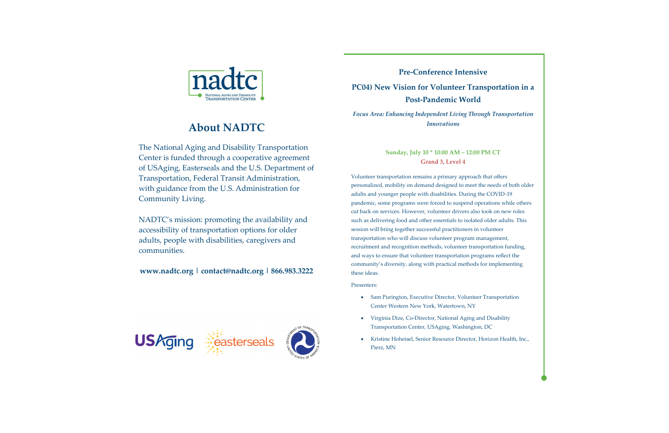

## **About NADTC**

The National Aging and Disability Transportation Center is funded through a cooperative agreement of USAging, Easterseals and the U.S. Department of Transportation, Federal Transit Administration, with guidance from the U.S. Administration for Community Living.

NADTC's mission: promoting the availability and accessibility of transportation options for older adults, people with disabilities, caregivers and communities.

### **www.nadtc.org | contact@nadtc.org | 866.983.3222**



## **Pre-Conference Intensive PC04) New Vision for Volunteer Transportation in a Post-Pandemic World**

*Focus Area: Enhancing Independent Living Through Transportation Innovations*

### **Sunday, July 10 \* 10:00 AM – 12:00 PM CT Grand 3, Level 4**

Volunteer transportation remains a primary approach that offers personalized, mobility on demand designed to meet the needs of both older adults and younger people with disabilities. During the COVID-19 pandemic, some programs were forced to suspend operations while others cut back on services. However, volunteer drivers also took on new roles such as delivering food and other essentials to isolated older adults. This session will bring together successful practitioners in volunteer transportation who will discuss volunteer program management, recruitment and recognition methods, volunteer transportation funding, and ways to ensure that volunteer transportation programs reflect the community's diversity, along with practical methods for implementing these ideas.

- Sam Purington, Executive Director, Volunteer Transportation Center Western New York, Watertown, NY
- Virginia Dize, Co-Director, National Aging and Disability Transportation Center, USAging, Washington, DC
- Kristine Hoheisel, Senior Resource Director, Horizon Health, Inc., Pierz, MN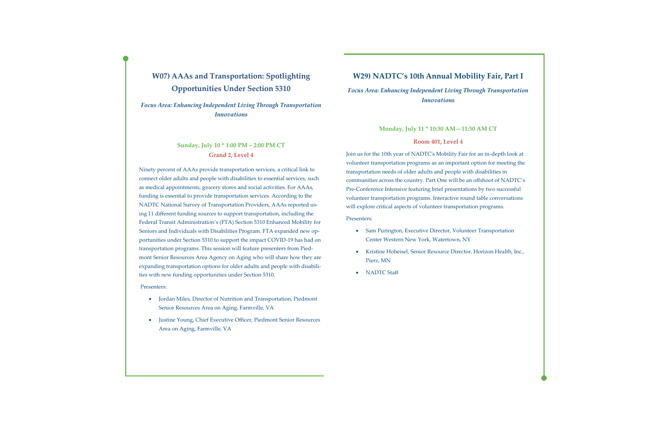## **W29) NADTC's 10th Annual Mobility Fair, Part I**

*Focus Area: Enhancing Independent Living Through Transportation Innovations*

### **Monday, July 11 \* 10:30 AM—11:30 AM CT**

### **Room 401, Level 4**

- Sam Purington, Executive Director, Volunteer Transportation Center Western New York, Watertown, NY
- Kristine Hoheisel, Senior Resource Director, Horizon Health, Inc., Pierz, MN
- NADTC Staff

Join us for the 10th year of NADTC's Mobility Fair for an in-depth look at volunteer transportation programs as an important option for meeting the transportation needs of older adults and people with disabilities in communities across the country. Part One will be an offshoot of NADTC's Pre-Conference Intensive featuring brief presentations by two successful volunteer transportation programs. Interactive round table conversations will explore critical aspects of volunteer transportation programs.

### Presenters:

## **W07) AAAs and Transportation: Spotlighting Opportunities Under Section 5310**

*Focus Area: Enhancing Independent Living Through Transportation Innovations*

### **Sunday, July 10 \* 1:00 PM – 2:00 PM CT Grand 2, Level 4**

Ninety percent of AAAs provide transportation services, a critical link to connect older adults and people with disabilities to essential services, such as medical appointments, grocery stores and social activities. For AAAs, funding is essential to provide transportation services. According to the NADTC National Survey of Transportation Providers, AAAs reported using 11 different funding sources to support transportation, including the Federal Transit Administration's (FTA) Section 5310 Enhanced Mobility for Seniors and Individuals with Disabilities Program. FTA expanded new opportunities under Section 5310 to support the impact COVID-19 has had on transportation programs. This session will feature presenters from Piedmont Senior Resources Area Agency on Aging who will share how they are expanding transportation options for older adults and people with disabilities with new funding opportunities under Section 5310.

- Jordan Miles, Director of Nutrition and Transportation, Piedmont Senior Resources Area on Aging, Farmville, VA
- Justine Young, Chief Executive Officer, Piedmont Senior Resources Area on Aging, Farmville, VA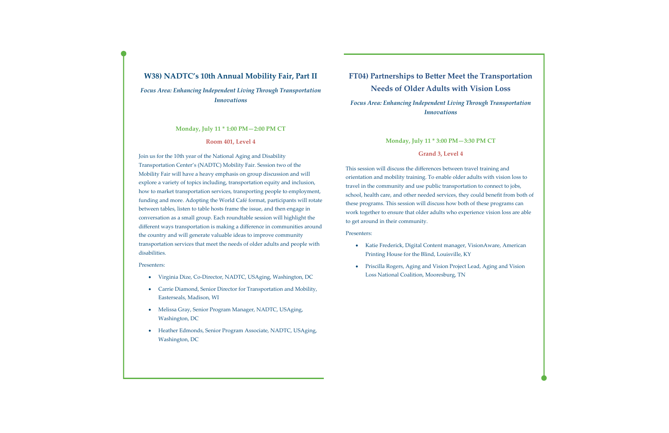## **FT04) Partnerships to Better Meet the Transportation Needs of Older Adults with Vision Loss**

*Focus Area: Enhancing Independent Living Through Transportation Innovations*

### **Monday, July 11 \* 3:00 PM—3:30 PM CT**

### **Grand 3, Level 4**

This session will discuss the differences between travel training and orientation and mobility training. To enable older adults with vision loss to travel in the community and use public transportation to connect to jobs, school, health care, and other needed services, they could benefit from both of these programs. This session will discuss how both of these programs can work together to ensure that older adults who experience vision loss are able to get around in their community.

### Presenters:

- Katie Frederick, Digital Content manager, VisionAware, American Printing House for the Blind, Louisville, KY
- Priscilla Rogers, Aging and Vision Project Lead, Aging and Vision Loss National Coalition, Mooresburg, TN

### **W38) NADTC's 10th Annual Mobility Fair, Part II**

*Focus Area: Enhancing Independent Living Through Transportation Innovations*

### **Monday, July 11 \* 1:00 PM—2:00 PM CT**

**Room 401, Level 4**

Join us for the 10th year of the National Aging and Disability Transportation Center's (NADTC) Mobility Fair. Session two of the Mobility Fair will have a heavy emphasis on group discussion and will explore a variety of topics including, transportation equity and inclusion, how to market transportation services, transporting people to employment, funding and more. Adopting the World Café format, participants will rotate between tables, listen to table hosts frame the issue, and then engage in conversation as a small group. Each roundtable session will highlight the different ways transportation is making a difference in communities around the country and will generate valuable ideas to improve community transportation services that meet the needs of older adults and people with disabilities.

- Virginia Dize, Co-Director, NADTC, USAging, Washington, DC
- Carrie Diamond, Senior Director for Transportation and Mobility, Easterseals, Madison, WI
- Melissa Gray, Senior Program Manager, NADTC, USAging, Washington, DC
- Heather Edmonds, Senior Program Associate, NADTC, USAging, Washington, DC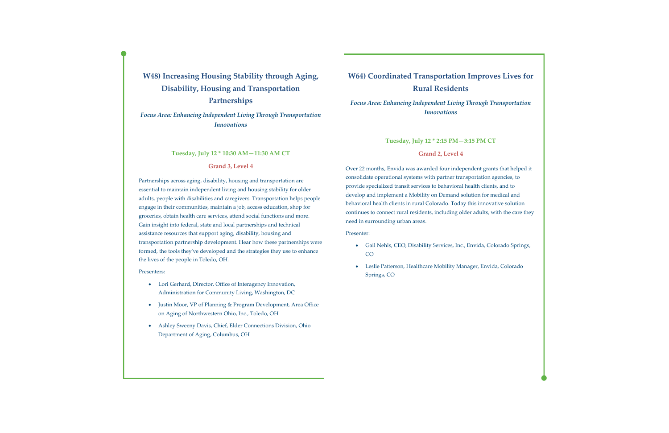## **W64) Coordinated Transportation Improves Lives for Rural Residents**

*Focus Area: Enhancing Independent Living Through Transportation Innovations*

### **Tuesday, July 12 \* 2:15 PM—3:15 PM CT**

### **Grand 2, Level 4**

Over 22 months, Envida was awarded four independent grants that helped it consolidate operational systems with partner transportation agencies, to provide specialized transit services to behavioral health clients, and to develop and implement a Mobility on Demand solution for medical and behavioral health clients in rural Colorado. Today this innovative solution continues to connect rural residents, including older adults, with the care they need in surrounding urban areas.

### Presenter:

- Gail Nehls, CEO, Disability Services, Inc., Envida, Colorado Springs, CO
- Leslie Patterson, Healthcare Mobility Manager, Envida, Colorado Springs, CO

**W48) Increasing Housing Stability through Aging, Disability, Housing and Transportation Partnerships** 

*Focus Area: Enhancing Independent Living Through Transportation Innovations*

### **Tuesday, July 12 \* 10:30 AM—11:30 AM CT**

### **Grand 3, Level 4**

Partnerships across aging, disability, housing and transportation are essential to maintain independent living and housing stability for older adults, people with disabilities and caregivers. Transportation helps people engage in their communities, maintain a job, access education, shop for groceries, obtain health care services, attend social functions and more. Gain insight into federal, state and local partnerships and technical assistance resources that support aging, disability, housing and transportation partnership development. Hear how these partnerships were formed, the tools they've developed and the strategies they use to enhance the lives of the people in Toledo, OH.

- Lori Gerhard, Director, Office of Interagency Innovation, Administration for Community Living, Washington, DC
- Justin Moor, VP of Planning & Program Development, Area Office on Aging of Northwestern Ohio, Inc., Toledo, OH
- Ashley Sweeny Davis, Chief, Elder Connections Division, Ohio Department of Aging, Columbus, OH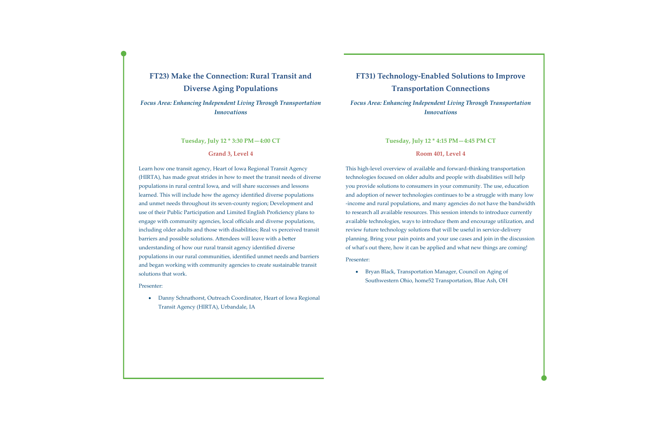## **FT31) Technology-Enabled Solutions to Improve Transportation Connections**

*Focus Area: Enhancing Independent Living Through Transportation Innovations*

### **Tuesday, July 12 \* 4:15 PM—4:45 PM CT**

### **Room 401, Level 4**

This high-level overview of available and forward-thinking transportation technologies focused on older adults and people with disabilities will help you provide solutions to consumers in your community. The use, education and adoption of newer technologies continues to be a struggle with many low -income and rural populations, and many agencies do not have the bandwidth to research all available resources. This session intends to introduce currently available technologies, ways to introduce them and encourage utilization, and review future technology solutions that will be useful in service-delivery planning. Bring your pain points and your use cases and join in the discussion of what's out there, how it can be applied and what new things are coming!

### Presenter:

• Bryan Black, Transportation Manager, Council on Aging of Southwestern Ohio, home52 Transportation, Blue Ash, OH

## **FT23) Make the Connection: Rural Transit and Diverse Aging Populations**

*Focus Area: Enhancing Independent Living Through Transportation Innovations*

### **Tuesday, July 12 \* 3:30 PM—4:00 CT**

### **Grand 3, Level 4**

Learn how one transit agency, Heart of Iowa Regional Transit Agency (HIRTA), has made great strides in how to meet the transit needs of diverse populations in rural central Iowa, and will share successes and lessons learned. This will include how the agency identified diverse populations and unmet needs throughout its seven-county region; Development and use of their Public Participation and Limited English Proficiency plans to engage with community agencies, local officials and diverse populations, including older adults and those with disabilities; Real vs perceived transit barriers and possible solutions. Attendees will leave with a better understanding of how our rural transit agency identified diverse populations in our rural communities, identified unmet needs and barriers and began working with community agencies to create sustainable transit solutions that work.

### Presenter:

• Danny Schnathorst, Outreach Coordinator, Heart of Iowa Regional Transit Agency (HIRTA), Urbandale, IA